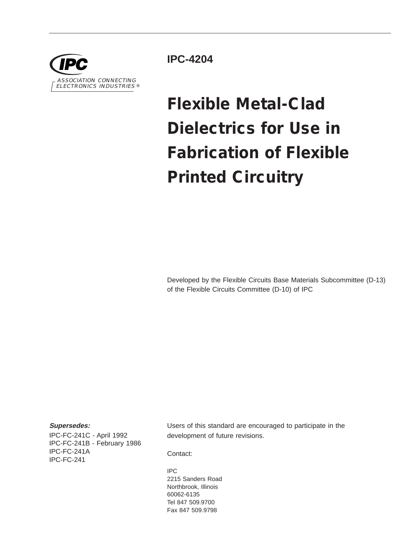

**IPC-4204**

# **Flexible Metal-Clad Dielectrics for Use in Fabrication of Flexible Printed Circuitry**

Developed by the Flexible Circuits Base Materials Subcommittee (D-13) of the Flexible Circuits Committee (D-10) of IPC

#### **Supersedes:**

IPC-FC-241C - April 1992 IPC-FC-241B - February 1986 IPC-FC-241A IPC-FC-241

Users of this standard are encouraged to participate in the development of future revisions.

Contact:

IPC 2215 Sanders Road Northbrook, Illinois 60062-6135 Tel 847 509.9700 Fax 847 509.9798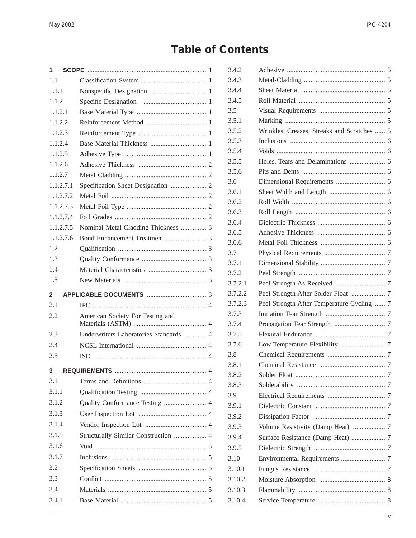## **Table of Contents**

| 1              |                                        |  |
|----------------|----------------------------------------|--|
| 1.1            |                                        |  |
| 1.1.1          |                                        |  |
| 1.1.2          |                                        |  |
| 1.1.2.1        |                                        |  |
| 1.1.2.2        |                                        |  |
| 1.1.2.3        |                                        |  |
| 1.1.2.4        |                                        |  |
| 1.1.2.5        |                                        |  |
| 1.1.2.6        |                                        |  |
| 1.1.2.7        |                                        |  |
| 1.1.2.7.1      |                                        |  |
| 1.1.2.7.2      |                                        |  |
| 1.1.2.7.3      |                                        |  |
| 1.1.2.7.4      |                                        |  |
| 1.1.2.7.5      | Nominal Metal Cladding Thickness  3    |  |
| 1.1.2.7.6      |                                        |  |
| 1.2            |                                        |  |
| 1.3            |                                        |  |
| 1.4            |                                        |  |
| 1.5            |                                        |  |
|                |                                        |  |
| $\mathbf{2}$   |                                        |  |
| 2.1            |                                        |  |
| 2.2            | American Society For Testing and       |  |
| 2.3            | Underwriters Laboratories Standards  4 |  |
| 2.4            |                                        |  |
| 2.5            |                                        |  |
| 3 <sup>1</sup> |                                        |  |
| 3.1            |                                        |  |
| 3.1.1          |                                        |  |
| 3.1.2          |                                        |  |
| 3.1.3          | Quality Conformance Testing  4         |  |
| 3.1.4          |                                        |  |
| 3.1.5          | Structurally Similar Construction  4   |  |
| 3.1.6          |                                        |  |
| 3.1.7          |                                        |  |
| 3.2            |                                        |  |
| 3.3            |                                        |  |
| 3.4            |                                        |  |

| 3.4.2   |                                             |  |
|---------|---------------------------------------------|--|
| 3.4.3   |                                             |  |
| 3.4.4   |                                             |  |
| 3.4.5   |                                             |  |
| 3.5     |                                             |  |
| 3.5.1   |                                             |  |
| 3.5.2   | Wrinkles, Creases, Streaks and Scratches  5 |  |
| 3.5.3   |                                             |  |
| 3.5.4   |                                             |  |
| 3.5.5   |                                             |  |
| 3.5.6   |                                             |  |
| 3.6     |                                             |  |
| 3.6.1   |                                             |  |
| 3.6.2   |                                             |  |
| 3.6.3   |                                             |  |
| 3.6.4   |                                             |  |
| 3.6.5   |                                             |  |
| 3.6.6   |                                             |  |
| 3.7     |                                             |  |
| 3.7.1   |                                             |  |
| 3.7.2   |                                             |  |
| 3.7.2.1 |                                             |  |
| 3.7.2.2 | Peel Strength After Solder Float  7         |  |
| 3.7.2.3 | Peel Strength After Temperature Cycling  7  |  |
| 3.7.3   |                                             |  |
| 3.7.4   |                                             |  |
| 3.7.5   |                                             |  |
| 3.7.6   |                                             |  |
| 3.8     |                                             |  |
| 3.8.1   |                                             |  |
| 3.8.2   |                                             |  |
| 3.8.3   |                                             |  |
| 3.9     |                                             |  |
| 3.9.1   |                                             |  |
| 3.9.2   |                                             |  |
| 3.9.3   |                                             |  |
| 3.9.4   |                                             |  |
| 3.9.5   |                                             |  |
| 3.10    |                                             |  |
| 3.10.1  |                                             |  |
| 3.10.2  |                                             |  |
| 3.10.3  |                                             |  |
| 3.10.4  |                                             |  |
|         |                                             |  |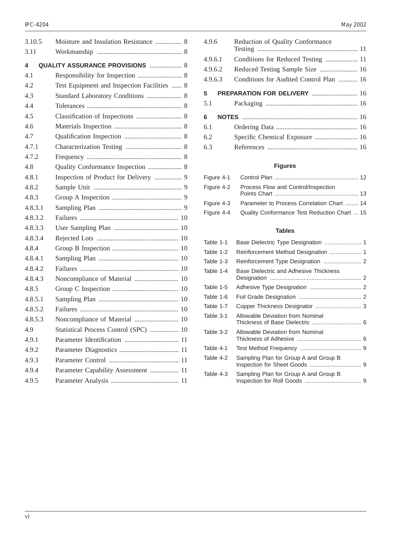| 3.10.5  | Moisture and Insulation Resistance  8       |  |
|---------|---------------------------------------------|--|
| 3.11    |                                             |  |
| 4       | <b>QUALITY ASSURANCE PROVISIONS  8</b>      |  |
| 4.1     | Responsibility for Inspection  8            |  |
| 4.2     | Test Equipment and Inspection Facilities  8 |  |
| 4.3     | Standard Laboratory Conditions  8           |  |
| 4.4     |                                             |  |
| 4.5     |                                             |  |
| 4.6     |                                             |  |
| 4.7     |                                             |  |
| 4.7.1   |                                             |  |
| 4.7.2   |                                             |  |
| 4.8     | Quality Conformance Inspection  8           |  |
| 4.8.1   | Inspection of Product for Delivery  9       |  |
| 4.8.2   |                                             |  |
| 4.8.3   |                                             |  |
| 4.8.3.1 |                                             |  |
| 4.8.3.2 |                                             |  |
| 4.8.3.3 |                                             |  |
| 4.8.3.4 |                                             |  |
| 4.8.4   |                                             |  |
| 4.8.4.1 |                                             |  |
| 4.8.4.2 |                                             |  |
| 4.8.4.3 | Noncompliance of Material  10               |  |
| 4.8.5   |                                             |  |
| 4.8.5.1 |                                             |  |
| 4.8.5.2 |                                             |  |
| 4.8.5.3 | Noncompliance of Material  10               |  |
| 4.9     | Statistical Process Control (SPC)  10       |  |
| 4.9.1   |                                             |  |
| 4.9.2   |                                             |  |
| 4.9.3   |                                             |  |
| 4.9.4   | Parameter Capability Assessment  11         |  |
| 4.9.5   |                                             |  |
|         |                                             |  |

| 4.9.6    | Reduction of Quality Conformance        |  |
|----------|-----------------------------------------|--|
| 4.9.6.1  | Conditions for Reduced Testing  11      |  |
| 4.9.6.2  | Reduced Testing Sample Size  16         |  |
| 4.9.6.3  | Conditions for Audited Control Plan  16 |  |
| 5<br>5.1 | PREPARATION FOR DELIVERY  16            |  |
| 6        |                                         |  |
| 6.1      |                                         |  |
| 6.2      | Specific Chemical Exposure  16          |  |
| 6.3      |                                         |  |
|          |                                         |  |

#### **Figures**

| Figure 4-2 Process Flow and Control/Inspection          |  |
|---------------------------------------------------------|--|
| Figure 4-3 Parameter to Process Correlation Chart  14   |  |
| Figure 4-4 Quality Conformance Test Reduction Chart  15 |  |

#### **Tables**

| Table 1-1 | Base Dielectric Type Designation  1    |  |
|-----------|----------------------------------------|--|
| Table 1-2 |                                        |  |
| Table 1-3 |                                        |  |
| Table 1-4 | Base Dielectric and Adhesive Thickness |  |
| Table 1-5 |                                        |  |
| Table 1-6 |                                        |  |
| Table 1-7 |                                        |  |
| Table 3-1 | Allowable Deviation from Nominal       |  |
| Table 3-2 | Allowable Deviation from Nominal       |  |
| Table 4-1 |                                        |  |
| Table 4-2 | Sampling Plan for Group A and Group B  |  |
| Table 4-3 | Sampling Plan for Group A and Group B  |  |
|           |                                        |  |